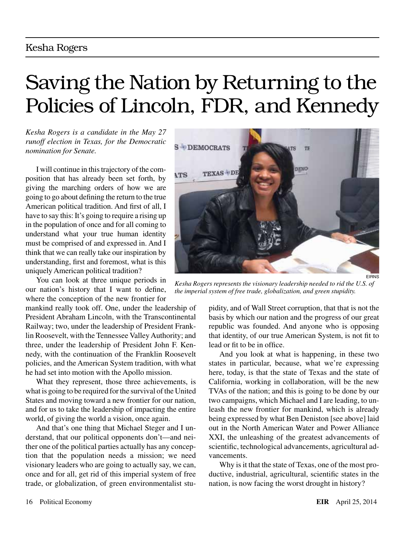# Saving the Nation by Returning to the Policies of Lincoln, FDR, and Kennedy

*Kesha Rogers is a candidate in the May 27 runoff election in Texas, for the Democratic nomination for Senate.*

I will continue in this trajectory of the composition that has already been set forth, by giving the marching orders of how we are going to go about defining the return to the true American political tradition. And first of all, I have to say this: It's going to require a rising up in the population of once and for all coming to understand what your true human identity must be comprised of and expressed in. And I think that we can really take our inspiration by understanding, first and foremost, what is this uniquely American political tradition?

You can look at three unique periods in our nation's history that I want to define, where the conception of the new frontier for

mankind really took off. One, under the leadership of President Abraham Lincoln, with the Transcontinental Railway; two, under the leadership of President Franklin Roosevelt, with the Tennessee Valley Authority; and three, under the leadership of President John F. Kennedy, with the continuation of the Franklin Roosevelt policies, and the American System tradition, with what he had set into motion with the Apollo mission.

What they represent, those three achievements, is what is going to be required for the survival of the United States and moving toward a new frontier for our nation, and for us to take the leadership of impacting the entire world, of giving the world a vision, once again.

And that's one thing that Michael Steger and I understand, that our political opponents don't—and neither one of the political parties actually has any conception that the population needs a mission; we need visionary leaders who are going to actually say, we can, once and for all, get rid of this imperial system of free trade, or globalization, of green environmentalist stu-



*Kesha Rogers represents the visionary leadership needed to rid the U.S. of the imperial system of free trade, globalization, and green stupidity.*

pidity, and of Wall Street corruption, that that is not the basis by which our nation and the progress of our great republic was founded. And anyone who is opposing that identity, of our true American System, is not fit to lead or fit to be in office.

And you look at what is happening, in these two states in particular, because, what we're expressing here, today, is that the state of Texas and the state of California, working in collaboration, will be the new TVAs of the nation; and this is going to be done by our two campaigns, which Michael and I are leading, to unleash the new frontier for mankind, which is already being expressed by what Ben Deniston [see above] laid out in the North American Water and Power Alliance XXI, the unleashing of the greatest advancements of scientific, technological advancements, agricultural advancements.

Why is it that the state of Texas, one of the most productive, industrial, agricultural, scientific states in the nation, is now facing the worst drought in history?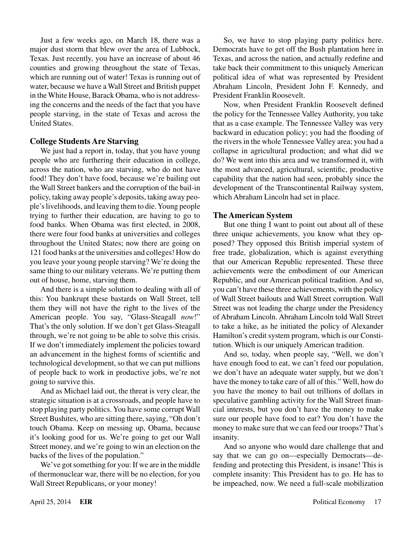Just a few weeks ago, on March 18, there was a major dust storm that blew over the area of Lubbock, Texas. Just recently, you have an increase of about 46 counties and growing throughout the state of Texas, which are running out of water! Texas is running out of water, because we have a Wall Street and British puppet in the White House, Barack Obama, who is not addressing the concerns and the needs of the fact that you have people starving, in the state of Texas and across the United States.

#### **College Students Are Starving**

We just had a report in, today, that you have young people who are furthering their education in college, across the nation, who are starving, who do not have food! They don't have food, because we're bailing out the Wall Street bankers and the corruption of the bail-in policy, taking away people's deposits, taking away people's livelihoods, and leaving them to die. Young people trying to further their education, are having to go to food banks. When Obama was first elected, in 2008, there were four food banks at universities and colleges throughout the United States; now there are going on 121 food banks at the universities and colleges! How do you leave your young people starving? We're doing the same thing to our military veterans. We're putting them out of house, home, starving them.

And there is a simple solution to dealing with all of this: You bankrupt these bastards on Wall Street, tell them they will not have the right to the lives of the American people. You say, "Glass-Steagall *now*!" That's the only solution. If we don't get Glass-Steagall through, we're not going to be able to solve this crisis. If we don't immediately implement the policies toward an advancement in the highest forms of scientific and technological development, so that we can put millions of people back to work in productive jobs, we're not going to survive this.

And as Michael laid out, the threat is very clear, the strategic situation is at a crossroads, and people have to stop playing party politics. You have some corrupt Wall Street Bushites, who are sitting there, saying, "Oh don't touch Obama. Keep on messing up, Obama, because it's looking good for us. We're going to get our Wall Street money, and we're going to win an election on the backs of the lives of the population."

We've got something for you: If we are in the middle of thermonuclear war, there will be no election, for you Wall Street Republicans, or your money!

So, we have to stop playing party politics here. Democrats have to get off the Bush plantation here in Texas, and across the nation, and actually redefine and take back their commitment to this uniquely American political idea of what was represented by President Abraham Lincoln, President John F. Kennedy, and President Franklin Roosevelt.

Now, when President Franklin Roosevelt defined the policy for the Tennessee Valley Authority, you take that as a case example. The Tennessee Valley was very backward in education policy; you had the flooding of the rivers in the whole Tennessee Valley area; you had a collapse in agricultural production; and what did we do? We went into this area and we transformed it, with the most advanced, agricultural, scientific, productive capability that the nation had seen, probably since the development of the Transcontinental Railway system, which Abraham Lincoln had set in place.

### **The American System**

But one thing I want to point out about all of these three unique achievements, you know what they opposed? They opposed this British imperial system of free trade, globalization, which is against everything that our American Republic represented. These three achievements were the embodiment of our American Republic, and our American political tradition. And so, you can't have these three achievements, with the policy of Wall Street bailouts and Wall Street corruption. Wall Street was not leading the charge under the Presidency of Abraham Lincoln. Abraham Lincoln told Wall Street to take a hike, as he initiated the policy of Alexander Hamilton's credit system program, which is our Constitution. Which is our uniquely American tradition.

And so, today, when people say, "Well, we don't have enough food to eat, we can't feed our population, we don't have an adequate water supply, but we don't have the money to take care of all of this." Well, how do you have the money to bail out trillions of dollars in speculative gambling activity for the Wall Street financial interests, but you don't have the money to make sure our people have food to eat? You don't have the money to make sure that we can feed our troops? That's insanity.

And so anyone who would dare challenge that and say that we can go on—especially Democrats—defending and protecting this President, is insane! This is complete insanity: This President has to go. He has to be impeached, now. We need a full-scale mobilization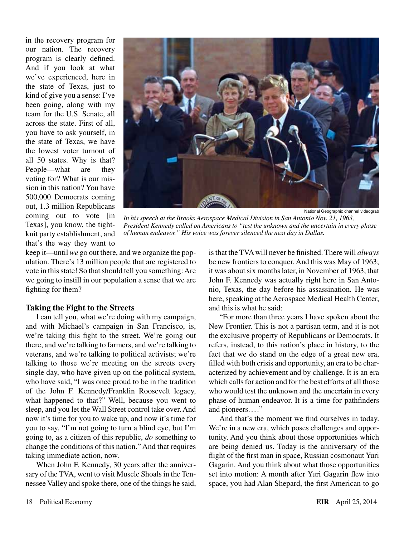in the recovery program for our nation. The recovery program is clearly defined. And if you look at what we've experienced, here in the state of Texas, just to kind of give you a sense: I've been going, along with my team for the U.S. Senate, all across the state. First of all, you have to ask yourself, in the state of Texas, we have the lowest voter turnout of all 50 states. Why is that? People—what are they voting for? What is our mission in this nation? You have 500,000 Democrats coming out, 1.3 million Republicans coming out to vote [in Texas], you know, the tightknit party establishment, and that's the way they want to



National Geographic channel videograb

*In his speech at the Brooks Aerospace Medical Division in San Antonio Nov. 21, 1963, President Kennedy called on Americans to "test the unknown and the uncertain in every phase of human endeavor." His voice was forever silenced the next day in Dallas.*

keep it—until *we* go out there, and we organize the population. There's 13 million people that are registered to vote in this state! So that should tell you something: Are we going to instill in our population a sense that we are fighting for them?

#### **Taking the Fight to the Streets**

I can tell you, what we're doing with my campaign, and with Michael's campaign in San Francisco, is, we're taking this fight to the street. We're going out there, and we're talking to farmers, and we're talking to veterans, and we're talking to political activists; we're talking to those we're meeting on the streets every single day, who have given up on the political system, who have said, "I was once proud to be in the tradition of the John F. Kennedy/Franklin Roosevelt legacy, what happened to that?" Well, because you went to sleep, and you let the Wall Street control take over. And now it's time for you to wake up, and now it's time for you to say, "I'm not going to turn a blind eye, but I'm going to, as a citizen of this republic, *do* something to change the conditions of this nation." And that requires taking immediate action, now.

When John F. Kennedy, 30 years after the anniversary of the TVA, went to visit Muscle Shoals in the Tennessee Valley and spoke there, one of the things he said, is that the TVA will never be finished. There will *always* be new frontiers to conquer. And this was May of 1963; it was about six months later, in November of 1963, that John F. Kennedy was actually right here in San Antonio, Texas, the day before his assassination. He was here, speaking at the Aerospace Medical Health Center, and this is what he said:

"For more than three years I have spoken about the New Frontier. This is not a partisan term, and it is not the exclusive property of Republicans or Democrats. It refers, instead, to this nation's place in history, to the fact that we do stand on the edge of a great new era, filled with both crisis and opportunity, an era to be characterized by achievement and by challenge. It is an era which calls for action and for the best efforts of all those who would test the unknown and the uncertain in every phase of human endeavor. It is a time for pathfinders and pioneers...."

And that's the moment we find ourselves in today. We're in a new era, which poses challenges and opportunity. And you think about those opportunities which are being denied us. Today is the anniversary of the flight of the first man in space, Russian cosmonaut Yuri Gagarin. And you think about what those opportunities set into motion: A month after Yuri Gagarin flew into space, you had Alan Shepard, the first American to go